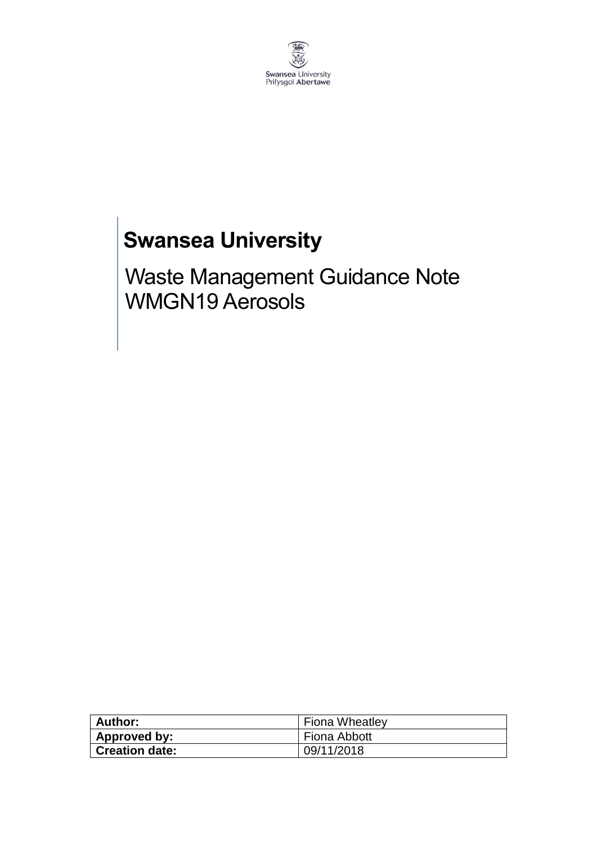

# **Swansea University**

Waste Management Guidance Note WMGN19 Aerosols

| Author:               | <b>Fiona Wheatley</b> |
|-----------------------|-----------------------|
| Approved by:          | Fiona Abbott          |
| <b>Creation date:</b> | 09/11/2018            |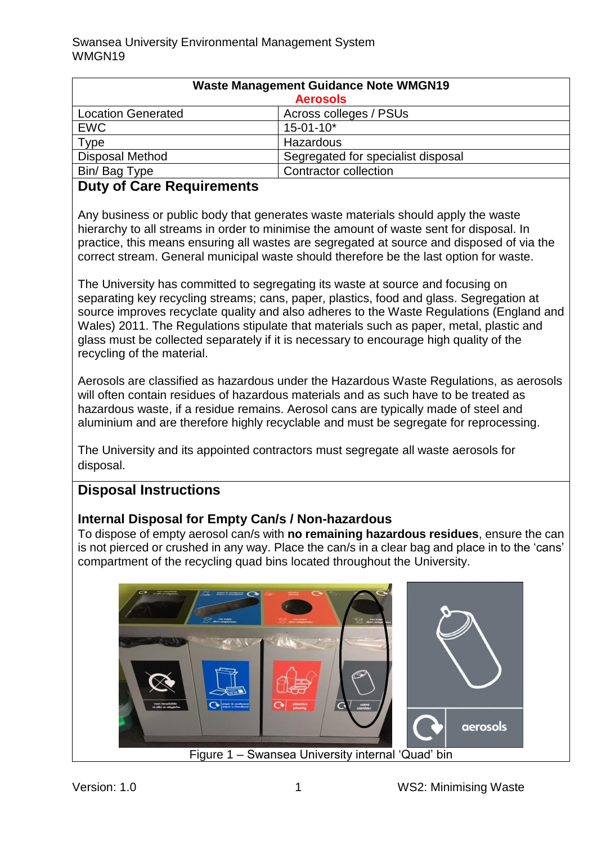| <b>Waste Management Guidance Note WMGN19</b> |                                    |
|----------------------------------------------|------------------------------------|
| <b>Aerosols</b>                              |                                    |
| <b>Location Generated</b>                    | Across colleges / PSUs             |
| <b>EWC</b>                                   | $15 - 01 - 10*$                    |
| Type                                         | Hazardous                          |
| <b>Disposal Method</b>                       | Segregated for specialist disposal |
| Bin/ Bag Type                                | <b>Contractor collection</b>       |

# **Duty of Care Requirements**

Any business or public body that generates waste materials should apply the waste hierarchy to all streams in order to minimise the amount of waste sent for disposal. In practice, this means ensuring all wastes are segregated at source and disposed of via the correct stream. General municipal waste should therefore be the last option for waste.

The University has committed to segregating its waste at source and focusing on separating key recycling streams; cans, paper, plastics, food and glass. Segregation at source improves recyclate quality and also adheres to the Waste Regulations (England and Wales) 2011. The Regulations stipulate that materials such as paper, metal, plastic and glass must be collected separately if it is necessary to encourage high quality of the recycling of the material.

Aerosols are classified as hazardous under the Hazardous Waste Regulations, as aerosols will often contain residues of hazardous materials and as such have to be treated as hazardous waste, if a residue remains. Aerosol cans are typically made of steel and aluminium and are therefore highly recyclable and must be segregate for reprocessing.

The University and its appointed contractors must segregate all waste aerosols for disposal.

### **Disposal Instructions**

### **Internal Disposal for Empty Can/s / Non-hazardous**

To dispose of empty aerosol can/s with **no remaining hazardous residues**, ensure the can is not pierced or crushed in any way. Place the can/s in a clear bag and place in to the 'cans' compartment of the recycling quad bins located throughout the University.

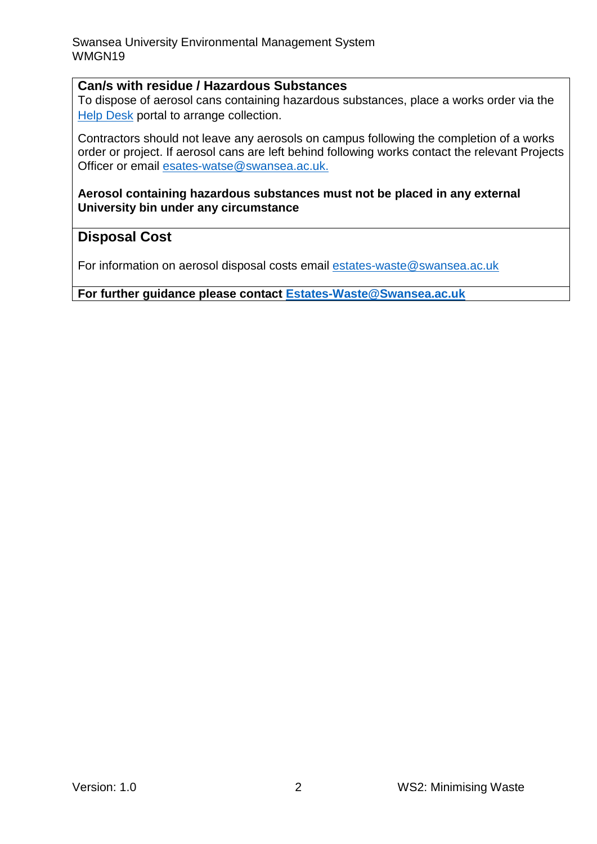#### **Can/s with residue / Hazardous Substances**

To dispose of aerosol cans containing hazardous substances, place a works order via the [Help Desk](https://quemis.swan.ac.uk/Q2_Live/login) portal to arrange collection.

Contractors should not leave any aerosols on campus following the completion of a works order or project. If aerosol cans are left behind following works contact the relevant Projects Officer or email [esates-watse@swansea.ac.uk.](mailto:esates-watse@swansea.ac.uk)

**Aerosol containing hazardous substances must not be placed in any external University bin under any circumstance** 

## **Disposal Cost**

For information on aerosol disposal costs email [estates-waste@swansea.ac.uk](mailto:estates-waste@swansea.ac.uk)

**For further guidance please contact [Estates-Waste@Swansea.ac.uk](mailto:Estates-Waste@Swansea.ac.uk)**